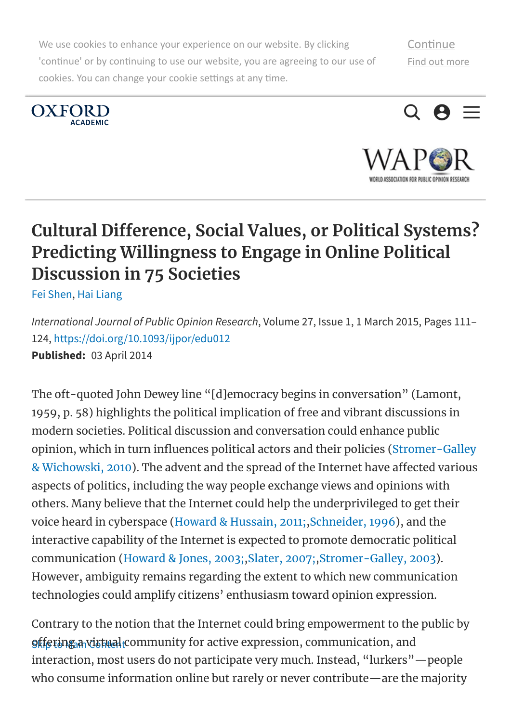We use cookies to enhance your experience on our website. By clicking 'continue' or by continuing to use our website, you are agreeing to our use of cookies. You can change your cookie settings at any time.







IN ESSACIETIAN FAR PHRITC APINIAN RESSEI

# <span id="page-0-0"></span>Cultural Difference, Social Values, or Political Systems? Predicting Willingness to Engage in Online Political Discussion in 75 Societies

Fei [Shen,](javascript:;) Hai [Liang](javascript:;)

International Journal of Public Opinion Research, Volume 27, Issue 1, 1 March 2015, Pages 111– 124, <https://doi.org/10.1093/ijpor/edu012> Published: 03 April 2014

The oft-quoted John Dewey line "[d]emocracy begins in conversation" (Lamont, 1959, p. 58) highlights the political implication of free and vibrant discussions in modern societies. Political discussion and conversation could enhance public opinion, which in turn influences political actors and their policies (Stromer-Galley & Wichowski, 2010). The advent and the spread of the Internet have affected various aspects of politics, including the way people exchange views and opinions with others. Many believe that the Internet could help the underprivileged to get their voice heard in cyberspace (Howard & Hussain, 2011;,Schneider, 1996), and the interactive capability of the Internet is expected to promote democratic political communication (Howard & Jones, 2003;,Slater, 2007;,Stromer-Galley, 2003). However, ambiguity remains regarding the extent to which new communication technologies could amplify citizens' enthusiasm toward opinion expression.

<u>offering a vistual c</u>ommunity for active expression, communication, and Contrary to the notion that the Internet could bring empowerment to the public by interaction, most users do not participate very much. Instead, "lurkers"—people who consume information online but rarely or never contribute—are the majority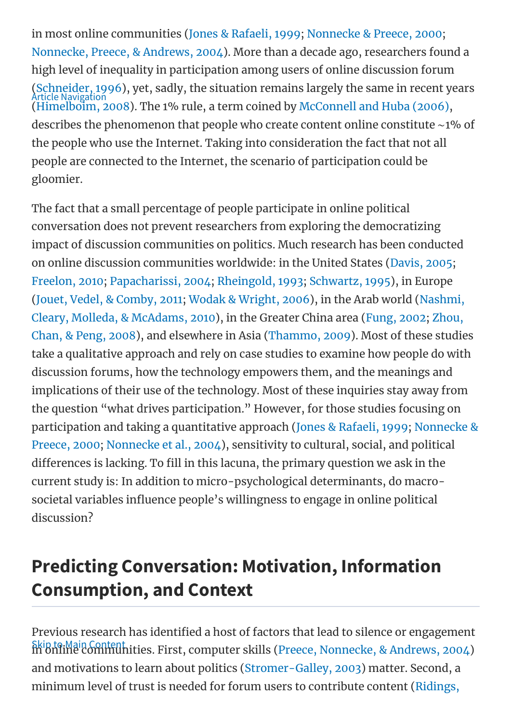in most online communities (Jones & Rafaeli, 1999; Nonnecke & Preece, 2000; Nonnecke, Preece, & Andrews, 2004). More than a decade ago, researchers found a high level of inequality in participation among users of online discussion forum (Schneider, 1996), yet, sadly, the situation remains largely the same in recent years (Himelboim, 2008). The 1% rule, a term coined by McConnell and Huba (2006), describes the phenomenon that people who create content online constitute ∼1% of the people who use the Internet. Taking into consideration the fact that not all people are connected to the Internet, the scenario of participation could be gloomier. Article Navigation

The fact that a small percentage of people participate in online political conversation does not prevent researchers from exploring the democratizing impact of discussion communities on politics. Much research has been conducted on online discussion communities worldwide: in the United States (Davis, 2005; Freelon, 2010; Papacharissi, 2004; Rheingold, 1993; Schwartz, 1995), in Europe (Jouet, Vedel, & Comby, 2011; Wodak & Wright, 2006), in the Arab world (Nashmi, Cleary, Molleda, & McAdams, 2010), in the Greater China area (Fung, 2002; Zhou, Chan, & Peng, 2008), and elsewhere in Asia (Thammo, 2009). Most of these studies take a qualitative approach and rely on case studies to examine how people do with discussion forums, how the technology empowers them, and the meanings and implications of their use of the technology. Most of these inquiries stay away from the question "what drives participation." However, for those studies focusing on participation and taking a quantitative approach (Jones & Rafaeli, 1999; Nonnecke & Preece, 2000; Nonnecke et al., 2004), sensitivity to cultural, social, and political differences is lacking. To fill in this lacuna, the primary question we ask in the current study is: In addition to micro-psychological determinants, do macrosocietal variables influence people's willingness to engage in online political discussion?

# Predicting Conversation: Motivation, Information Consumption, and Context

Skip to Main Content.<br>In online [communi](#page-0-0)ties. First, computer skills (Preece, Nonnecke, & Andrews, 2004) Previous research has identified a host of factors that lead to silence or engagement and motivations to learn about politics (Stromer-Galley, 2003) matter. Second, a minimum level of trust is needed for forum users to contribute content (Ridings,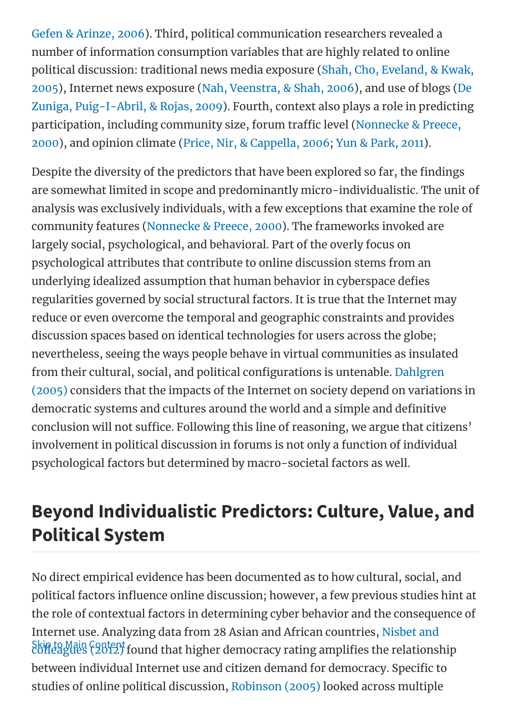Gefen & Arinze, 2006). Third, political communication researchers revealed a number of information consumption variables that are highly related to online political discussion: traditional news media exposure (Shah, Cho, Eveland, & Kwak, 2005), Internet news exposure (Nah, Veenstra, & Shah, 2006), and use of blogs (De Zuniga, Puig-I-Abril, & Rojas, 2009). Fourth, context also plays a role in predicting participation, including community size, forum traffic level (Nonnecke & Preece, 2000), and opinion climate (Price, Nir, & Cappella, 2006; Yun & Park, 2011).

Despite the diversity of the predictors that have been explored so far, the findings are somewhat limited in scope and predominantly micro-individualistic. The unit of analysis was exclusively individuals, with a few exceptions that examine the role of community features (Nonnecke & Preece, 2000). The frameworks invoked are largely social, psychological, and behavioral. Part of the overly focus on psychological attributes that contribute to online discussion stems from an underlying idealized assumption that human behavior in cyberspace defies regularities governed by social structural factors. It is true that the Internet may reduce or even overcome the temporal and geographic constraints and provides discussion spaces based on identical technologies for users across the globe; nevertheless, seeing the ways people behave in virtual communities as insulated from their cultural, social, and political configurations is untenable. Dahlgren (2005) considers that the impacts of the Internet on society depend on variations in democratic systems and cultures around the world and a simple and definitive conclusion will not suffice. Following this line of reasoning, we argue that citizens' involvement in political discussion in forums is not only a function of individual psychological factors but determined by macro-societal factors as well.

# Beyond Individualistic Predictors: Culture, Value, and Political System

Skinto Main Content<br>[colleagues](#page-0-0) (2012) found that higher democracy rating amplifies the relationship No direct empirical evidence has been documented as to how cultural, social, and political factors influence online discussion; however, a few previous studies hint at the role of contextual factors in determining cyber behavior and the consequence of Internet use. Analyzing data from 28 Asian and African countries, Nisbet and between individual Internet use and citizen demand for democracy. Specific to studies of online political discussion, Robinson (2005) looked across multiple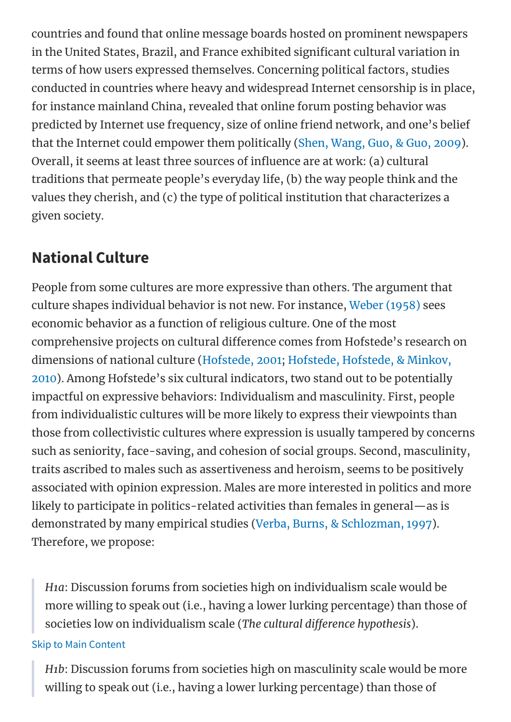countries and found that online message boards hosted on prominent newspapers in the United States, Brazil, and France exhibited significant cultural variation in terms of how users expressed themselves. Concerning political factors, studies conducted in countries where heavy and widespread Internet censorship is in place, for instance mainland China, revealed that online forum posting behavior was predicted by Internet use frequency, size of online friend network, and one's belief that the Internet could empower them politically (Shen, Wang, Guo, & Guo, 2009). Overall, it seems at least three sources of influence are at work: (a) cultural traditions that permeate people's everyday life, (b) the way people think and the values they cherish, and (c) the type of political institution that characterizes a given society.

### National Culture

People from some cultures are more expressive than others. The argument that culture shapes individual behavior is not new. For instance, Weber (1958) sees economic behavior as a function of religious culture. One of the most comprehensive projects on cultural difference comes from Hofstede's research on dimensions of national culture (Hofstede, 2001; Hofstede, Hofstede, & Minkov, 2010). Among Hofstede's six cultural indicators, two stand out to be potentially impactful on expressive behaviors: Individualism and masculinity. First, people from individualistic cultures will be more likely to express their viewpoints than those from collectivistic cultures where expression is usually tampered by concerns such as seniority, face-saving, and cohesion of social groups. Second, masculinity, traits ascribed to males such as assertiveness and heroism, seems to be positively associated with opinion expression. Males are more interested in politics and more likely to participate in politics-related activities than females in general—as is demonstrated by many empirical studies (Verba, Burns, & Schlozman, 1997). Therefore, we propose:

H1a: Discussion forums from societies high on individualism scale would be more willing to speak out (i.e., having a lower lurking percentage) than those of societies low on individualism scale (The cultural difference hypothesis).

#### Skip to Main [Content](#page-0-0)

H1b: Discussion forums from societies high on masculinity scale would be more willing to speak out (i.e., having a lower lurking percentage) than those of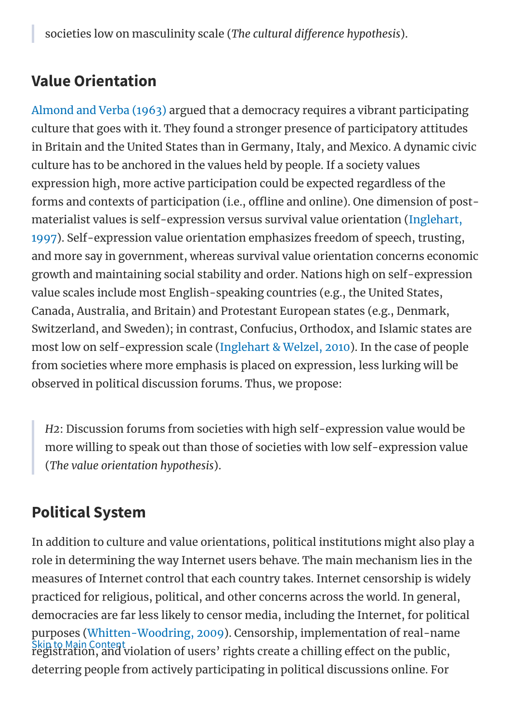## Value Orientation

Almond and Verba (1963) argued that a democracy requires a vibrant participating culture that goes with it. They found a stronger presence of participatory attitudes in Britain and the United States than in Germany, Italy, and Mexico. A dynamic civic culture has to be anchored in the values held by people. If a society values expression high, more active participation could be expected regardless of the forms and contexts of participation (i.e., offline and online). One dimension of postmaterialist values is self-expression versus survival value orientation (Inglehart, 1997). Self-expression value orientation emphasizes freedom of speech, trusting, and more say in government, whereas survival value orientation concerns economic growth and maintaining social stability and order. Nations high on self-expression value scales include most English-speaking countries (e.g., the United States, Canada, Australia, and Britain) and Protestant European states (e.g., Denmark, Switzerland, and Sweden); in contrast, Confucius, Orthodox, and Islamic states are most low on self-expression scale (Inglehart & Welzel, 2010). In the case of people from societies where more emphasis is placed on expression, less lurking will be observed in political discussion forums. Thus, we propose:

H2: Discussion forums from societies with high self-expression value would be more willing to speak out than those of societies with low self-expression value (The value orientation hypothesis).

## Political System

Skip to Main Content In addition to culture and value orientations, political institutions might also play a role in determining the way Internet users behave. The main mechanism lies in the measures of Internet control that each country takes. Internet censorship is widely practiced for religious, political, and other concerns across the world. In general, democracies are far less likely to censor media, including the Internet, for political purposes (Whitten-Woodring, 2009). Censorship, implementation of real-name [registration,](#page-0-0) and violation of users' rights create a chilling effect on the public, deterring people from actively participating in political discussions online. For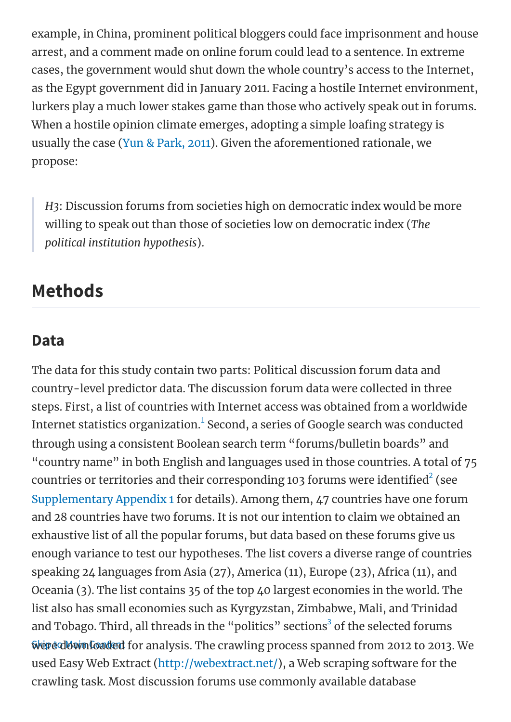example, in China, prominent political bloggers could face imprisonment and house arrest, and a comment made on online forum could lead to a sentence. In extreme cases, the government would shut down the whole country's access to the Internet, as the Egypt government did in January 2011. Facing a hostile Internet environment, lurkers play a much lower stakes game than those who actively speak out in forums. When a hostile opinion climate emerges, adopting a simple loafing strategy is usually the case (Yun & Park, 2011). Given the aforementioned rationale, we propose:

H3: Discussion forums from societies high on democratic index would be more willing to speak out than those of societies low on democratic index (The political institution hypothesis).

## Methods

#### Data

Were [downloaded](#page-0-0) for analysis. The crawling process spanned from 2012 to 2013. We The data for this study contain two parts: Political discussion forum data and country-level predictor data. The discussion forum data were collected in three steps. First, a list of countries with Internet access was obtained from a worldwide Internet statistics organization. $^{\rm 1}$  Second, a series of Google search was conducted through using a consistent Boolean search term "forums/bulletin boards" and "country name" in both English and languages used in those countries. A total of 75 countries or territories and their corresponding 103 forums were identified $^2$  (see [Supplementary](https://oup.silverchair-cdn.com/oup/backfile/Content_public/Journal/ijpor/27/1/10.1093_ijpor_edu012/1/edu012_Supplementary_Data.zip?Expires=1513666095&Signature=BpiEkl5v1mVWpT2GtAQTOKGOKQTDcjfU6oLyFSjuptHUYvS4cfi5BK3oprY1ZvC6YIdwrwqXfaEmpeOB4gy6OWsrfWsAiO1zZRtQ2F9IGt0xzCpoqf68W5Ng5TwHiQGbM6tTN59YpZO9OlTuUApT480-YiCVNFL6-EbvMn0x-yploQ5zUjNEBlFVltk-z8mJyzR4MmyxyEhYTzh3p1i6THI2KXj1cgarbvROzGzdsGoZYVlJrUta-Gxuvhv~okKX98142fo5Q9rG43-kAG3sHexbjcnut~fSH622ZEpYPVBWXChjiKRO6RCa5shh30y8G-xEf8vBJNCvSMa1Th4pKg__&Key-Pair-Id=APKAIUCZBIA4LVPAVW3Q) Appendix 1 for details). Among them, 47 countries have one forum and 28 countries have two forums. It is not our intention to claim we obtained an exhaustive list of all the popular forums, but data based on these forums give us enough variance to test our hypotheses. The list covers a diverse range of countries speaking 24 languages from Asia (27), America (11), Europe (23), Africa (11), and Oceania (3). The list contains 35 of the top 40 largest economies in the world. The list also has small economies such as Kyrgyzstan, Zimbabwe, Mali, and Trinidad and Tobago. Third, all threads in the "politics" sections $^3$  of the selected forums used Easy Web Extract [\(http://webextract.net/](http://webextract.net/)), a Web scraping software for the crawling task. Most discussion forums use commonly available database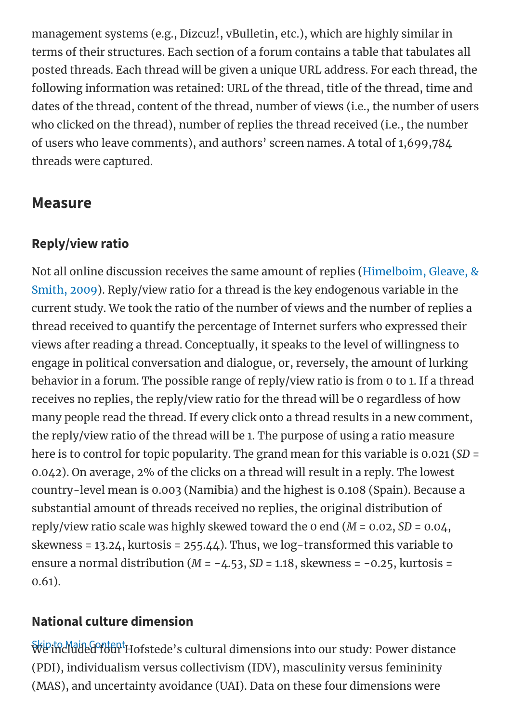management systems (e.g., Dizcuz!, vBulletin, etc.), which are highly similar in terms of their structures. Each section of a forum contains a table that tabulates all posted threads. Each thread will be given a unique URL address. For each thread, the following information was retained: URL of the thread, title of the thread, time and dates of the thread, content of the thread, number of views (i.e., the number of users who clicked on the thread), number of replies the thread received (i.e., the number of users who leave comments), and authors' screen names. A total of 1,699,784 threads were captured.

### Measure

### Reply/view ratio

Not all online discussion receives the same amount of replies (Himelboim, Gleave, & Smith, 2009). Reply/view ratio for a thread is the key endogenous variable in the current study. We took the ratio of the number of views and the number of replies a thread received to quantify the percentage of Internet surfers who expressed their views after reading a thread. Conceptually, it speaks to the level of willingness to engage in political conversation and dialogue, or, reversely, the amount of lurking behavior in a forum. The possible range of reply/view ratio is from 0 to 1. If a thread receives no replies, the reply/view ratio for the thread will be 0 regardless of how many people read the thread. If every click onto a thread results in a new comment, the reply/view ratio of the thread will be 1. The purpose of using a ratio measure here is to control for topic popularity. The grand mean for this variable is 0.021 (SD = 0.042). On average, 2% of the clicks on a thread will result in a reply. The lowest country-level mean is 0.003 (Namibia) and the highest is 0.108 (Spain). Because a substantial amount of threads received no replies, the original distribution of reply/view ratio scale was highly skewed toward the 0 end  $(M = 0.02, SD = 0.04,$ skewness = 13.24, kurtosis = 255.44). Thus, we log-transformed this variable to ensure a normal distribution ( $M = -4.53$ ,  $SD = 1.18$ , skewness = -0.25, kurtosis = 0.61).

### National culture dimension

Skip to Main Content We [included](#page-0-0) four Hofstede's cultural dimensions into our study: Power distance (PDI), individualism versus collectivism (IDV), masculinity versus femininity (MAS), and uncertainty avoidance (UAI). Data on these four dimensions were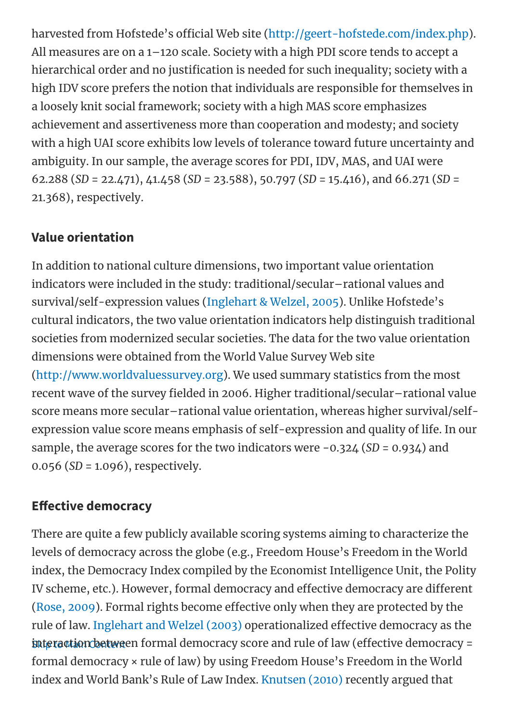harvested from Hofstede's official Web site [\(http://geert-hofstede.com/index.php\)](http://geert-hofstede.com/index.php). All measures are on a 1–120 scale. Society with a high PDI score tends to accept a hierarchical order and no justification is needed for such inequality; society with a high IDV score prefers the notion that individuals are responsible for themselves in a loosely knit social framework; society with a high MAS score emphasizes achievement and assertiveness more than cooperation and modesty; and society with a high UAI score exhibits low levels of tolerance toward future uncertainty and ambiguity. In our sample, the average scores for PDI, IDV, MAS, and UAI were 62.288 (SD = 22.471), 41.458 (SD = 23.588), 50.797 (SD = 15.416), and 66.271 (SD = 21.368), respectively.

### Value orientation

In addition to national culture dimensions, two important value orientation indicators were included in the study: traditional/secular–rational values and survival/self-expression values (Inglehart & Welzel, 2005). Unlike Hofstede's cultural indicators, the two value orientation indicators help distinguish traditional societies from modernized secular societies. The data for the two value orientation dimensions were obtained from the World Value Survey Web site [\(http://www.worldvaluessurvey.org\)](http://www.worldvaluessurvey.org/). We used summary statistics from the most recent wave of the survey fielded in 2006. Higher traditional/secular-rational value score means more secular–rational value orientation, whereas higher survival/selfexpression value score means emphasis of self-expression and quality of life. In our sample, the average scores for the two indicators were -0.324 (SD = 0.934) and 0.056 (SD = 1.096), respectively.

### **Effective democracy**

**[interaction](#page-0-0) betwe**en formal democracy score and rule of law (effective democracy = There are quite a few publicly available scoring systems aiming to characterize the levels of democracy across the globe (e.g., Freedom House's Freedom in the World index, the Democracy Index compiled by the Economist Intelligence Unit, the Polity IV scheme, etc.). However, formal democracy and effective democracy are different (Rose, 2009). Formal rights become effective only when they are protected by the rule of law. Inglehart and Welzel (2003) operationalized effective democracy as the formal democracy × rule of law) by using Freedom House's Freedom in the World index and World Bank's Rule of Law Index. Knutsen (2010) recently argued that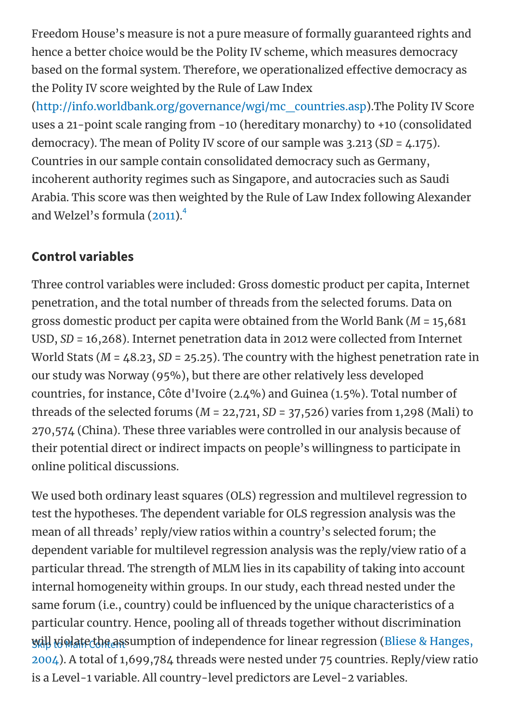Freedom House's measure is not a pure measure of formally guaranteed rights and hence a better choice would be the Polity IV scheme, which measures democracy based on the formal system. Therefore, we operationalized effective democracy as the Polity IV score weighted by the Rule of Law Index

[\(http://info.worldbank.org/governance/wgi/mc\\_countries.asp](http://info.worldbank.org/governance/wgi/mc_countries.asp)).The Polity IV Score uses a 21-point scale ranging from −10 (hereditary monarchy) to +10 (consolidated democracy). The mean of Polity IV score of our sample was 3.213 (SD = 4.175). Countries in our sample contain consolidated democracy such as Germany, incoherent authority regimes such as Singapore, and autocracies such as Saudi Arabia. This score was then weighted by the Rule of Law Index following Alexander and Welzel's formula (2011).<sup>4</sup>

#### Control variables

Three control variables were included: Gross domestic product per capita, Internet penetration, and the total number of threads from the selected forums. Data on gross domestic product per capita were obtained from the World Bank (M = 15,681 USD, SD = 16,268). Internet penetration data in 2012 were collected from Internet World Stats ( $M = 48.23$ ,  $SD = 25.25$ ). The country with the highest penetration rate in our study was Norway (95%), but there are other relatively less developed countries, for instance, Côte d'Ivoire (2.4%) and Guinea (1.5%). Total number of threads of the selected forums ( $M = 22,721, SD = 37,526$ ) varies from 1,298 (Mali) to 270,574 (China). These three variables were controlled in our analysis because of their potential direct or indirect impacts on people's willingness to participate in online political discussions.

<u>will wiolatecthe as</u>sumption of independence for linear regression (Bliese & Hanges, We used both ordinary least squares (OLS) regression and multilevel regression to test the hypotheses. The dependent variable for OLS regression analysis was the mean of all threads' reply/view ratios within a country's selected forum; the dependent variable for multilevel regression analysis was the reply/view ratio of a particular thread. The strength of MLM lies in its capability of taking into account internal homogeneity within groups. In our study, each thread nested under the same forum (i.e., country) could be influenced by the unique characteristics of a particular country. Hence, pooling all of threads together without discrimination 2004). A total of 1,699,784 threads were nested under 75 countries. Reply/view ratio is a Level-1 variable. All country-level predictors are Level-2 variables.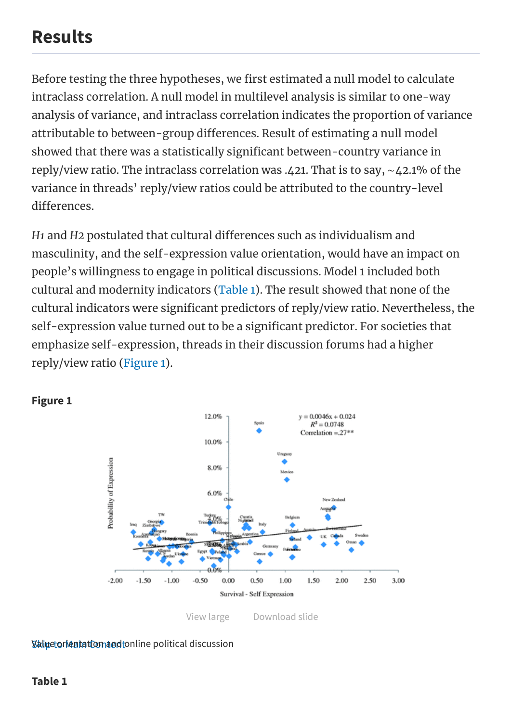## Results

Before testing the three hypotheses, we first estimated a null model to calculate intraclass correlation. A null model in multilevel analysis is similar to one-way analysis of variance, and intraclass correlation indicates the proportion of variance attributable to between-group differences. Result of estimating a null model showed that there was a statistically significant between-country variance in reply/view ratio. The intraclass correlation was .421. That is to say, ∼42.1% of the variance in threads' reply/view ratios could be attributed to the country-level differences.

H<sub>1</sub> and H<sub>2</sub> postulated that cultural differences such as individualism and masculinity, and the self-expression value orientation, would have an impact on people's willingness to engage in political discussions. Model 1 included both cultural and modernity indicators (Table 1). The result showed that none of the cultural indicators were significant predictors of reply/view ratio. Nevertheless, the self-expression value turned out to be a significant predictor. For societies that emphasize self-expression, threads in their discussion forums had a higher reply/view ratio (Figure 1).



#### Figure 1

#### **Value orientation and t**online political discussion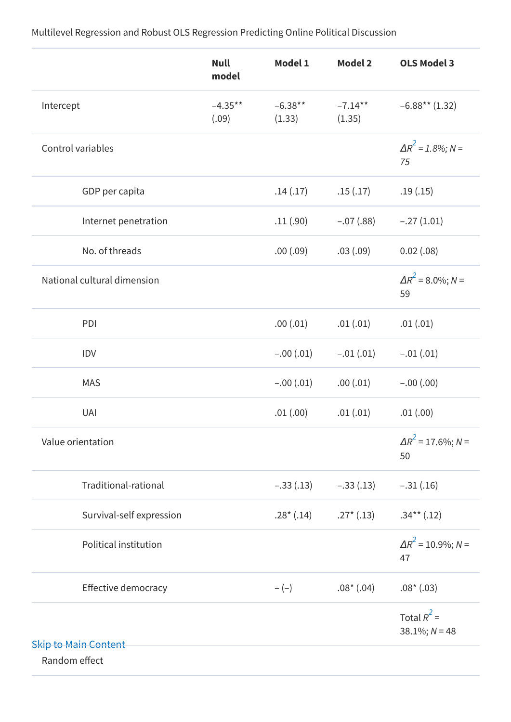Skip to Main [Content](#page-0-0) Null model Model 1 Model 2 OLS Model 3 Intercept –4.35\*\* (.09)  $-6.38***$ (1.33)  $-7.14***$ (1.35) –6.88\*\* (1.32) Control variables  $\Delta R^2 = 1.8\%$ ; N = 75 (15) GDP per capita .14 (.17) .15 .15 .17 .15 .19 .15 Internet penetration .11 (.90) –.07 (.88) –.27 (1.01) No. of threads .00 (.09) .03 (.09) 0.02 (.08) National cultural dimension 59 PDI .00 (.01) .00 (.01) .01 (.01) .01 (.01) IDV –.00 (.01) –.01 (.01) –.01 (.01) MAS -.00 (.01) 00. 01 00 (.01) -.00 (.00) UAI .01 (.00) .01 (.01) .01 (.00) Value orientation 50 Traditional-rational –.33 (.13) –.33 (.13) –.31 (.16) Survival-self expression .28<sup>\*</sup> (.14) .27<sup>\*</sup> (.13) .34<sup>\*\*</sup> (.12) Political institution 47 Effective democracy  $-(-)$  .08\* (.04) .08\* (.03) Total  $R^2$  =  $38.1\%; N = 48$ Random effect  $\Delta R^2$  = 8.0%; N =  $\Delta R^2$  = 17.6%; N =  $\Delta R^2$  = 10.9%; N =

Multilevel Regression and Robust OLS Regression Predicting Online Political Discussion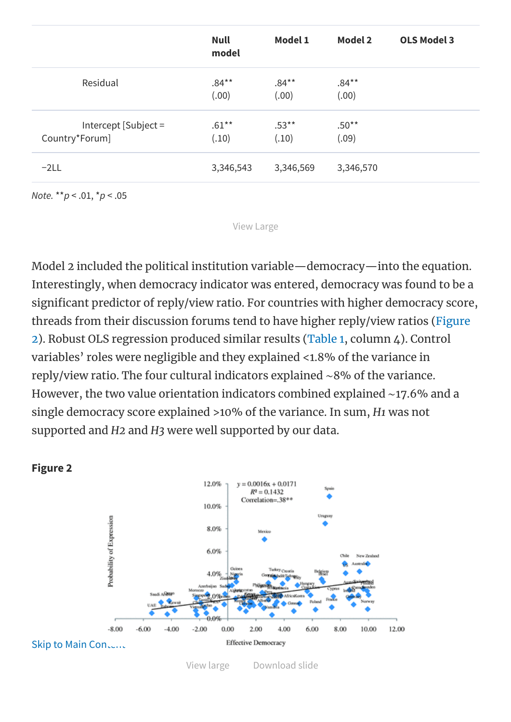|                                        | <b>Null</b><br>model | <b>Model 1</b>    | <b>Model 2</b>    | <b>OLS Model 3</b> |
|----------------------------------------|----------------------|-------------------|-------------------|--------------------|
| Residual                               | $.84***$<br>(.00)    | $.84***$<br>(.00) | $.84***$<br>(.00) |                    |
| Intercept [Subject =<br>Country*Forum] | $.61***$<br>(.10)    | $.53***$<br>(.10) | $.50**$<br>(.09)  |                    |
| $-2LL$                                 | 3,346,543            | 3,346,569         | 3,346,570         |                    |

Note. \*\*p < .01, \*p < .05

[View Large](https://academic.oup.com/view-large/83030128)

Model 2 included the political institution variable—democracy—into the equation. Interestingly, when democracy indicator was entered, democracy was found to be a significant predictor of reply/view ratio. For countries with higher democracy score, threads from their discussion forums tend to have higher reply/view ratios (Figure 2). Robust OLS regression produced similar results (Table 1, column 4). Control variables' roles were negligible and they explained <1.8% of the variance in reply/view ratio. The four cultural indicators explained ∼8% of the variance. However, the two value orientation indicators combined explained ∼17.6% and a single democracy score explained >10% of the variance. In sum, H1 was not supported and H2 and H3 were well supported by our data.





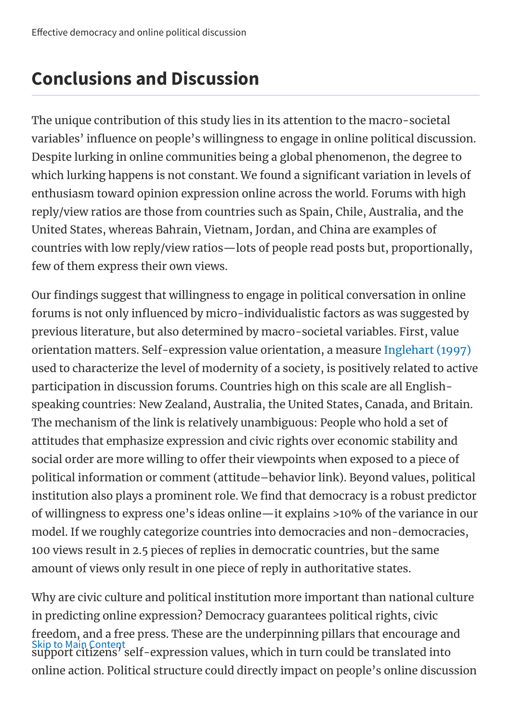# Conclusions and Discussion

The unique contribution of this study lies in its attention to the macro-societal variables' influence on people's willingness to engage in online political discussion. Despite lurking in online communities being a global phenomenon, the degree to which lurking happens is not constant. We found a significant variation in levels of enthusiasm toward opinion expression online across the world. Forums with high reply/view ratios are those from countries such as Spain, Chile, Australia, and the United States, whereas Bahrain, Vietnam, Jordan, and China are examples of countries with low reply/view ratios—lots of people read posts but, proportionally, few of them express their own views.

Our findings suggest that willingness to engage in political conversation in online forums is not only influenced by micro-individualistic factors as was suggested by previous literature, but also determined by macro-societal variables. First, value orientation matters. Self-expression value orientation, a measure Inglehart (1997) used to characterize the level of modernity of a society, is positively related to active participation in discussion forums. Countries high on this scale are all Englishspeaking countries: New Zealand, Australia, the United States, Canada, and Britain. The mechanism of the link is relatively unambiguous: People who hold a set of attitudes that emphasize expression and civic rights over economic stability and social order are more willing to offer their viewpoints when exposed to a piece of political information or comment (attitude–behavior link). Beyond values, political institution also plays a prominent role. We find that democracy is a robust predictor of willingness to express one's ideas online—it explains >10% of the variance in our model. If we roughly categorize countries into democracies and non-democracies, 100 views result in 2.5 pieces of replies in democratic countries, but the same amount of views only result in one piece of reply in authoritative states.

Skip to Main Content Why are civic culture and political institution more important than national culture in predicting online expression? Democracy guarantees political rights, civic [freedom,](#page-0-0) and a free press. These are the underpinning pillars that encourage and support citizens' self-expression values, which in turn could be translated into online action. Political structure could directly impact on people's online discussion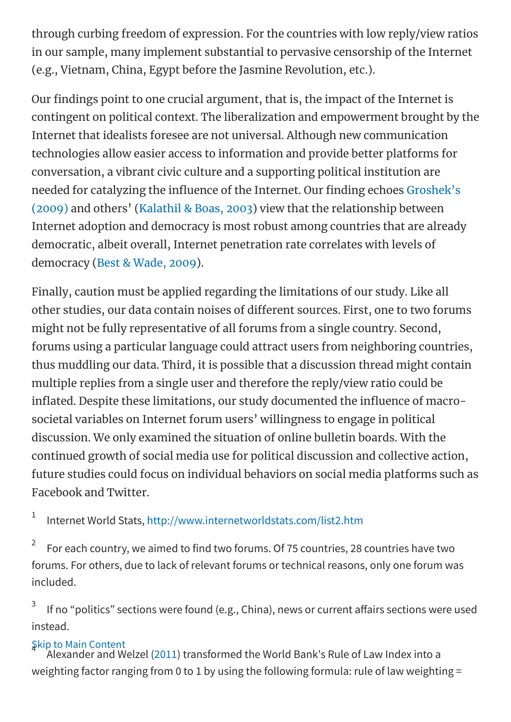through curbing freedom of expression. For the countries with low reply/view ratios in our sample, many implement substantial to pervasive censorship of the Internet (e.g., Vietnam, China, Egypt before the Jasmine Revolution, etc.).

Our findings point to one crucial argument, that is, the impact of the Internet is contingent on political context. The liberalization and empowerment brought by the Internet that idealists foresee are not universal. Although new communication technologies allow easier access to information and provide better platforms for conversation, a vibrant civic culture and a supporting political institution are needed for catalyzing the influence of the Internet. Our finding echoes Groshek's (2009) and others' (Kalathil & Boas, 2003) view that the relationship between Internet adoption and democracy is most robust among countries that are already democratic, albeit overall, Internet penetration rate correlates with levels of democracy (Best & Wade, 2009).

Finally, caution must be applied regarding the limitations of our study. Like all other studies, our data contain noises of different sources. First, one to two forums might not be fully representative of all forums from a single country. Second, forums using a particular language could attract users from neighboring countries, thus muddling our data. Third, it is possible that a discussion thread might contain multiple replies from a single user and therefore the reply/view ratio could be inflated. Despite these limitations, our study documented the influence of macrosocietal variables on Internet forum users' willingness to engage in political discussion. We only examined the situation of online bulletin boards. With the continued growth of social media use for political discussion and collective action, future studies could focus on individual behaviors on social media platforms such as Facebook and Twitter.

Internet World Stats, <http://www.internetworldstats.com/list2.htm> 1

For each country, we aimed to find two forums. Of 75 countries, 28 countries have two forums. For others, due to lack of relevant forums or technical reasons, only one forum was included. 2

If no "politics" sections were found (e.g., China), news or current affairs sections were used instead. 3

### Skip to Main Content 4

[Alexander](#page-0-0) and Welzel (2011) transformed the World Bank's Rule of Law Index into a weighting factor ranging from 0 to 1 by using the following formula: rule of law weighting =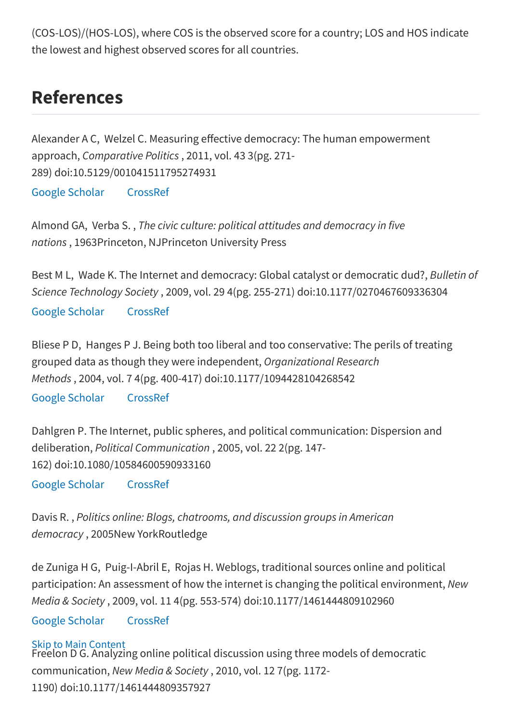(COS-LOS)/(HOS-LOS), where COS is the observed score for a country; LOS and HOS indicate the lowest and highest observed scores for all countries.

## References

Alexander A C, Welzel C. Measuring effective democracy: The human empowerment approach, Comparative Politics , 2011, vol. 43 3(pg. 271- 289) doi:10.5129/001041511795274931 Google [Scholar](https://scholar.google.com/scholar_lookup?title=Measuring%20effective%20democracy%3A%20The%20human%20empowerment%20approach&author=A%20C%20Alexander&author=C%20Welzel&publication_year=2011&journal=Comparative%20Politics&volume=43&pages=271-289) [CrossRef](http://dx.doi.org/10.5129/001041511795274931)

Almond GA, Verba S. , The civic culture: political attitudes and democracy in five nations , 1963Princeton, NJPrinceton University Press

Best M L, Wade K. The Internet and democracy: Global catalyst or democratic dud?, Bulletin of Science Technology Society , 2009, vol. 29 4(pg. 255-271) doi:10.1177/0270467609336304 Google [Scholar](https://scholar.google.com/scholar_lookup?title=The%20Internet%20and%20democracy%3A%20Global%20catalyst%20or%20democratic%20dud%3F&author=M%20L%20Best&author=K%20Wade&publication_year=2009&journal=Bulletin%20of%20Science%20Technology%20Society&volume=29&pages=255-271) [CrossRef](http://dx.doi.org/10.1177/0270467609336304)

Bliese P D, Hanges P J. Being both too liberal and too conservative: The perils of treating grouped data as though they were independent, Organizational Research Methods , 2004, vol. 7 4(pg. 400-417) doi:10.1177/1094428104268542

Google [Scholar](https://scholar.google.com/scholar_lookup?title=Being%20both%20too%20liberal%20and%20too%20conservative%3A%20The%20perils%20of%20treating%20grouped%20data%20as%20though%20they%20were%20independent&author=P%20D%20Bliese&author=P%20J%20Hanges&publication_year=2004&journal=Organizational%20Research%20Methods&volume=7&pages=400-417) [CrossRef](http://dx.doi.org/10.1177/1094428104268542)

Dahlgren P. The Internet, public spheres, and political communication: Dispersion and deliberation, Political Communication , 2005, vol. 22 2(pg. 147- 162) doi:10.1080/10584600590933160 Google [Scholar](https://scholar.google.com/scholar_lookup?title=The%20Internet%2C%20public%20spheres%2C%20and%20political%20communication%3A%20Dispersion%20and%20deliberation&author=P%20Dahlgren&publication_year=2005&journal=Political%20Communication&volume=22&pages=147-162) [CrossRef](http://dx.doi.org/10.1080/10584600590933160)

Davis R. , Politics online: Blogs, chatrooms, and discussion groups in American democracy , 2005New YorkRoutledge

de Zuniga H G, Puig-I-Abril E, Rojas H. Weblogs, traditional sources online and political participation: An assessment of how the internet is changing the political environment, New Media & Society , 2009, vol. 11 4(pg. 553-574) doi:10.1177/1461444809102960

#### Google [Scholar](https://scholar.google.com/scholar_lookup?title=Weblogs%2C%20traditional%20sources%20online%20and%20political%20participation%3A%20An%20assessment%20of%20how%20the%20internet%20is%20changing%20the%20political%20environment&author=H%20G%20de%20Zuniga&author=E%20Puig-I-Abril&author=H%20Rojas&publication_year=2009&journal=New%20Media%20%26%20Society&volume=11&pages=553-574) [CrossRef](http://dx.doi.org/10.1177/1461444809102960)

#### Skip to Main Content

Freelon D G. [Analyzing](#page-0-0) online political discussion using three models of democratic communication, New Media & Society , 2010, vol. 12 7(pg. 1172- 1190) doi:10.1177/1461444809357927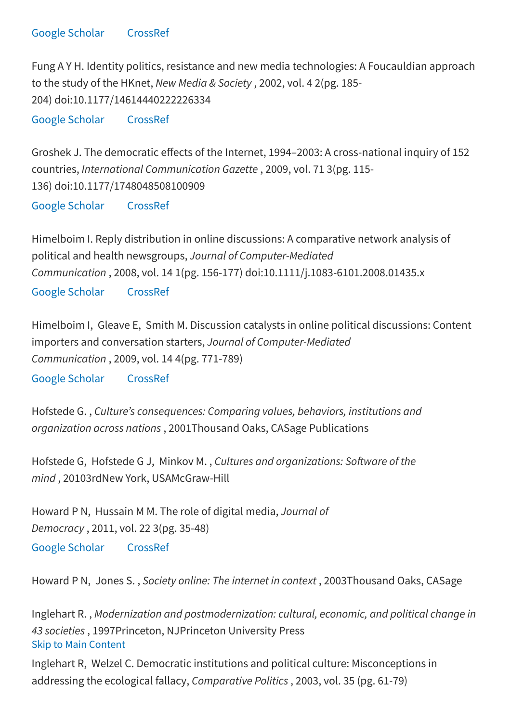Fung A Y H. Identity politics, resistance and new media technologies: A Foucauldian approach to the study of the HKnet, New Media & Society , 2002, vol. 4 2(pg. 185- 204) doi:10.1177/14614440222226334

Google [Scholar](https://scholar.google.com/scholar_lookup?title=Identity%20politics%2C%20resistance%20and%20new%20media%20technologies%3A%20A%20Foucauldian%20approach%20to%20the%20study%20of%20the%20HKnet&author=A%20Y%20H%20Fung&publication_year=2002&journal=New%20Media%20%26%20Society&volume=4&pages=185-204) [CrossRef](http://dx.doi.org/10.1177/14614440222226334)

Groshek J. The democratic effects of the Internet, 1994–2003: A cross-national inquiry of 152 countries, International Communication Gazette , 2009, vol. 71 3(pg. 115- 136) doi:10.1177/1748048508100909

Google [Scholar](https://scholar.google.com/scholar_lookup?title=The%20democratic%20effects%20of%20the%20Internet%2C%201994%E2%80%932003%3A%20A%20cross-national%20inquiry%20of%20152%20countries&author=J%20Groshek&publication_year=2009&journal=International%20Communication%20Gazette&volume=71&pages=115-136) [CrossRef](http://dx.doi.org/10.1177/1748048508100909)

Himelboim I. Reply distribution in online discussions: A comparative network analysis of political and health newsgroups, Journal of Computer-Mediated Communication , 2008, vol. 14 1(pg. 156-177) doi:10.1111/j.1083-6101.2008.01435.x

Google [Scholar](https://scholar.google.com/scholar_lookup?title=Reply%20distribution%20in%20online%20discussions%3A%20A%20comparative%20network%20analysis%20of%20political%20and%20health%20newsgroups&author=I%20Himelboim&publication_year=2008&journal=Journal%20of%20Computer-Mediated%20Communication&volume=14&pages=156-177) [CrossRef](http://dx.doi.org/10.1111/jcmc.2008.14.issue-1)

Himelboim I, Gleave E, Smith M. Discussion catalysts in online political discussions: Content importers and conversation starters, Journal of Computer-Mediated Communication , 2009, vol. 14 4(pg. 771-789)

Google [Scholar](https://scholar.google.com/scholar_lookup?title=Discussion%20catalysts%20in%20online%20political%20discussions%3A%20Content%20importers%20and%20conversation%20starters&author=I%20Himelboim&author=E%20Gleave&author=M%20Smith&publication_year=2009&journal=Journal%20of%20Computer-Mediated%20Communication&volume=14&pages=771-789) [CrossRef](http://dx.doi.org/10.1111/jcmc.2009.14.issue-4)

Hofstede G. , Culture's consequences: Comparing values, behaviors, institutions and organization across nations , 2001Thousand Oaks, CASage Publications

Hofstede G, Hofstede G J, Minkov M., Cultures and organizations: Software of the mind , 20103rdNew York, USAMcGraw-Hill

Howard P N, Hussain M M. The role of digital media, Journal of Democracy , 2011, vol. 22 3(pg. 35-48) Google [Scholar](https://scholar.google.com/scholar_lookup?title=The%20role%20of%20digital%20media&author=P%20N%20Howard&author=M%20M%20Hussain&publication_year=2011&journal=Journal%20of%20Democracy&volume=22&pages=35-48) [CrossRef](http://dx.doi.org/10.1353/jod.2011.0041)

Howard P N, Jones S. , Society online: The internet in context , 2003Thousand Oaks, CASage

Skip to Main [Content](#page-0-0) Inglehart R. , Modernization and postmodernization: cultural, economic, and political change in 43 societies , 1997Princeton, NJPrinceton University Press

Inglehart R, Welzel C. Democratic institutions and political culture: Misconceptions in addressing the ecological fallacy, Comparative Politics , 2003, vol. 35 (pg. 61-79)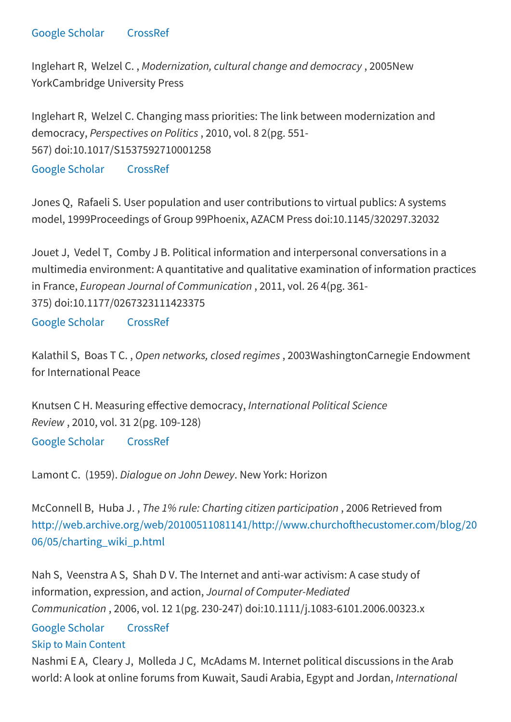Inglehart R, Welzel C. , Modernization, cultural change and democracy , 2005New YorkCambridge University Press

Inglehart R, Welzel C. Changing mass priorities: The link between modernization and democracy, Perspectives on Politics , 2010, vol. 8 2(pg. 551- 567) doi:10.1017/S1537592710001258

Google [Scholar](https://scholar.google.com/scholar_lookup?title=Changing%20mass%20priorities%3A%20The%20link%20between%20modernization%20and%20democracy&author=R%20Inglehart&author=C%20Welzel&publication_year=2010&journal=Perspectives%20on%20Politics&volume=8&pages=551-567) [CrossRef](http://dx.doi.org/10.1017/S1537592710001258)

Jones Q, Rafaeli S. User population and user contributions to virtual publics: A systems model, 1999Proceedings of Group 99Phoenix, AZACM Press doi:10.1145/320297.32032

Jouet J, Vedel T, Comby J B. Political information and interpersonal conversations in a multimedia environment: A quantitative and qualitative examination of information practices in France, European Journal of Communication , 2011, vol. 26 4(pg. 361- 375) doi:10.1177/0267323111423375

Google [Scholar](https://scholar.google.com/scholar_lookup?title=Political%20information%20and%20interpersonal%20conversations%20in%20a%20multimedia%20environment%3A%20A%20quantitative%20and%20qualitative%20examination%20of%20information%20practices%20in%20France&author=J%20Jouet&author=T%20Vedel&author=J%20B%20Comby&publication_year=2011&journal=European%20Journal%20of%20Communication&volume=26&pages=361-375) [CrossRef](http://dx.doi.org/10.1177/0267323111423375)

Kalathil S, Boas T C., Open networks, closed regimes, 2003WashingtonCarnegie Endowment for International Peace

Knutsen C H. Measuring effective democracy, International Political Science Review , 2010, vol. 31 2(pg. 109-128)

Google [Scholar](https://scholar.google.com/scholar_lookup?title=Measuring%20effective%20democracy&author=C%20H%20Knutsen&publication_year=2010&journal=International%20Political%20Science%20Review&volume=31&pages=109-128) [CrossRef](http://dx.doi.org/10.1177/0192512110364736)

Lamont C. (1959). Dialogue on John Dewey. New York: Horizon

McConnell B, Huba J. , The 1% rule: Charting citizen participation , 2006 Retrieved from http://web.archive.org/web/20100511081141/http://www.churchofthecustomer.com/blog/20 06/05/charting\_wiki\_p.html

Nah S, Veenstra A S, Shah D V. The Internet and anti-war activism: A case study of information, expression, and action, Journal of Computer-Mediated Communication , 2006, vol. 12 1(pg. 230-247) doi:10.1111/j.1083-6101.2006.00323.x

Skip to Main [Content](#page-0-0) Google [Scholar](https://scholar.google.com/scholar_lookup?title=The%20Internet%20and%20anti-war%20activism%3A%20A%20case%20study%20of%20information%2C%20expression%2C%20and%20action&author=S%20Nah&author=A%20S%20Veenstra&author=D%20V%20Shah&publication_year=2006&journal=Journal%20of%20Computer-Mediated%20Communication&volume=12&pages=230-247) [CrossRef](http://dx.doi.org/10.1111/jcmc.2006.12.issue-1)

Nashmi E A, Cleary J, Molleda J C, McAdams M. Internet political discussions in the Arab world: A look at online forums from Kuwait, Saudi Arabia, Egypt and Jordan, International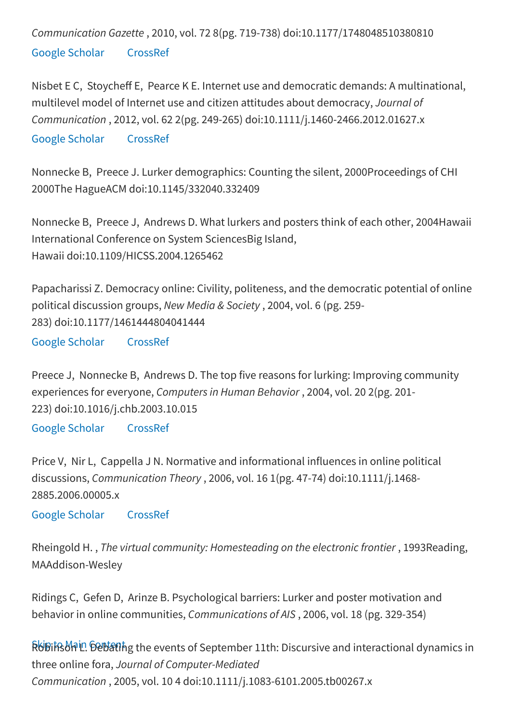Communication Gazette , 2010, vol. 72 8(pg. 719-738) doi:10.1177/1748048510380810 Google [Scholar](https://scholar.google.com/scholar_lookup?title=Internet%20political%20discussions%20in%20the%20Arab%20world%3A%20A%20look%20at%20online%20forums%20from%20Kuwait%2C%20Saudi%20Arabia%2C%20Egypt%20and%20Jordan&author=E%20A%20Nashmi&author=J%20Cleary&author=J%20C%20Molleda&author=M%20McAdams&publication_year=2010&journal=International%20Communication%20Gazette&volume=72&pages=719-738) [CrossRef](http://dx.doi.org/10.1177/1748048510380810)

Nisbet E C, Stoycheff E, Pearce K E. Internet use and democratic demands: A multinational, multilevel model of Internet use and citizen attitudes about democracy, Journal of Communication , 2012, vol. 62 2(pg. 249-265) doi:10.1111/j.1460-2466.2012.01627.x

Google [Scholar](https://scholar.google.com/scholar_lookup?title=Internet%20use%20and%20democratic%20demands%3A%20A%20multinational%2C%20multilevel%20model%20of%20Internet%20use%20and%20citizen%20attitudes%20about%20democracy&author=E%20C%20Nisbet&author=E%20Stoycheff&author=K%20E%20Pearce&publication_year=2012&journal=Journal%20of%20Communication&volume=62&pages=249-265) [CrossRef](http://dx.doi.org/10.1111/j.1460-2466.2012.01627.x)

Nonnecke B, Preece J. Lurker demographics: Counting the silent, 2000Proceedings of CHI 2000The HagueACM doi:10.1145/332040.332409

Nonnecke B, Preece J, Andrews D. What lurkers and posters think of each other, 2004Hawaii International Conference on System SciencesBig Island, Hawaii doi:10.1109/HICSS.2004.1265462

Papacharissi Z. Democracy online: Civility, politeness, and the democratic potential of online political discussion groups, New Media & Society , 2004, vol. 6 (pg. 259- 283) doi:10.1177/1461444804041444

Google [Scholar](https://scholar.google.com/scholar_lookup?title=Democracy%20online%3A%20Civility%2C%20politeness%2C%20and%20the%20democratic%20potential%20of%20online%20political%20discussion%20groups&author=Z%20Papacharissi&publication_year=2004&journal=New%20Media%20%26%20Society&volume=6&pages=259-283) [CrossRef](http://dx.doi.org/10.1177/1461444804041444)

Preece J, Nonnecke B, Andrews D. The top five reasons for lurking: Improving community experiences for everyone, Computers in Human Behavior , 2004, vol. 20 2(pg. 201- 223) doi:10.1016/j.chb.2003.10.015

Google [Scholar](https://scholar.google.com/scholar_lookup?title=The%20top%20five%20reasons%20for%20lurking%3A%20Improving%20community%20experiences%20for%20everyone&author=J%20Preece&author=B%20Nonnecke&author=D%20Andrews&publication_year=2004&journal=Computers%20in%20Human%20Behavior&volume=20&pages=201-223) [CrossRef](http://dx.doi.org/10.1016/j.chb.2003.10.015)

Price V, Nir L, Cappella J N. Normative and informational influences in online political discussions, Communication Theory , 2006, vol. 16 1(pg. 47-74) doi:10.1111/j.1468- 2885.2006.00005.x

Google [Scholar](https://scholar.google.com/scholar_lookup?title=Normative%20and%20informational%20influences%20in%20online%20political%20discussions&author=V%20Price&author=L%20Nir&author=J%20N%20Cappella&publication_year=2006&journal=Communication%20Theory&volume=16&pages=47-74) [CrossRef](http://dx.doi.org/10.1111/comt.2006.16.issue-1)

Rheingold H. , The virtual community: Homesteading on the electronic frontier , 1993Reading, MAAddison-Wesley

Ridings C, Gefen D, Arinze B. Psychological barriers: Lurker and poster motivation and behavior in online communities, Communications of AIS , 2006, vol. 18 (pg. 329-354)

Robitቤሪክ <sup>in</sup> Debath g the events of September 11th: Discursive and interactional dynamics in three online fora, Journal of Computer-Mediated Communication , 2005, vol. 10 4 doi:10.1111/j.1083-6101.2005.tb00267.x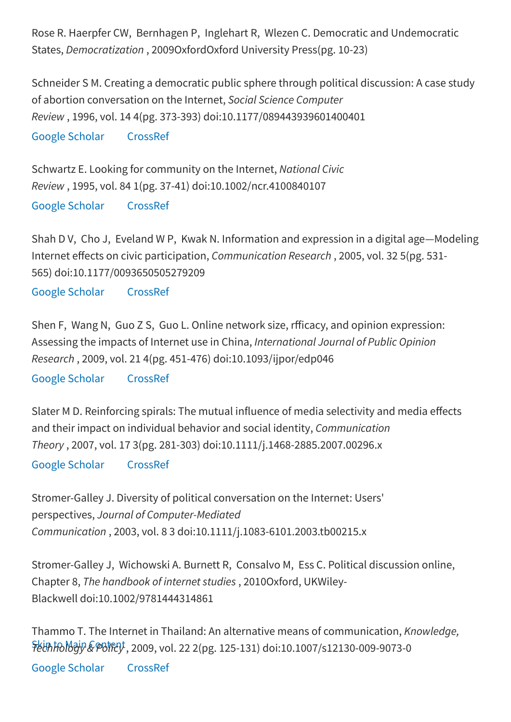Rose R. Haerpfer CW, Bernhagen P, Inglehart R, Wlezen C. Democratic and Undemocratic States, Democratization , 2009OxfordOxford University Press(pg. 10-23)

Schneider S M. Creating a democratic public sphere through political discussion: A case study of abortion conversation on the Internet, Social Science Computer Review , 1996, vol. 14 4(pg. 373-393) doi:10.1177/089443939601400401

Google [Scholar](https://scholar.google.com/scholar_lookup?title=Creating%20a%20democratic%20public%20sphere%20through%20political%20discussion%3A%20A%20case%20study%20of%20abortion%20conversation%20on%20the%20Internet&author=S%20M%20Schneider&publication_year=1996&journal=Social%20Science%20Computer%20Review&volume=14&pages=373-393) [CrossRef](http://dx.doi.org/10.1177/089443939601400401)

Schwartz E. Looking for community on the Internet, National Civic Review , 1995, vol. 84 1(pg. 37-41) doi:10.1002/ncr.4100840107 Google [Scholar](https://scholar.google.com/scholar_lookup?title=Looking%20for%20community%20on%20the%20Internet&author=E%20Schwartz&publication_year=1995&journal=National%20Civic%20Review&volume=84&pages=37-41) [CrossRef](http://dx.doi.org/10.1002/(ISSN)1542-7811)

Shah D V, Cho J, Eveland W P, Kwak N. Information and expression in a digital age—Modeling Internet effects on civic participation, Communication Research, 2005, vol. 32 5(pg. 531-565) doi:10.1177/0093650505279209

Google [Scholar](https://scholar.google.com/scholar_lookup?title=Information%20and%20expression%20in%20a%20digital%20age%E2%80%94Modeling%20Internet%20effects%20on%20civic%20participation&author=D%20V%20Shah&author=J%20Cho&author=W%20P%20Eveland&author=N%20Kwak&publication_year=2005&journal=Communication%20Research&volume=32&pages=531-565) [CrossRef](http://dx.doi.org/10.1177/0093650205279209)

Shen F, Wang N, Guo Z S, Guo L. Online network size, rfficacy, and opinion expression: Assessing the impacts of Internet use in China, International Journal of Public Opinion Research , 2009, vol. 21 4(pg. 451-476) doi:10.1093/ijpor/edp046 Google [Scholar](https://scholar.google.com/scholar_lookup?title=Online%20network%20size%2C%20rfficacy%2C%20and%20opinion%20expression%3A%20Assessing%20the%20impacts%20of%20Internet%20use%20in%20China&author=F%20Shen&author=N%20Wang&author=Z%20S%20Guo&author=L%20Guo&publication_year=2009&journal=International%20Journal%20of%20Public%20Opinion%20Research&volume=21&pages=451-476) [CrossRef](http://dx.doi.org/10.1093/ijpor/edp046)

Slater M D. Reinforcing spirals: The mutual influence of media selectivity and media effects and their impact on individual behavior and social identity, Communication Theory , 2007, vol. 17 3(pg. 281-303) doi:10.1111/j.1468-2885.2007.00296.x

Google [Scholar](https://scholar.google.com/scholar_lookup?title=Reinforcing%20spirals%3A%20The%20mutual%20influence%20of%20media%20selectivity%20and%20media%20effects%20and%20their%20impact%20on%20individual%20behavior%20and%20social%20identity&author=M%20D%20Slater&publication_year=2007&journal=Communication%20Theory&volume=17&pages=281-303) [CrossRef](http://dx.doi.org/10.1111/comt.2007.17.issue-3)

Stromer-Galley J. Diversity of political conversation on the Internet: Users' perspectives, Journal of Computer-Mediated Communication , 2003, vol. 8 3 doi:10.1111/j.1083-6101.2003.tb00215.x

Stromer-Galley J, Wichowski A. Burnett R, Consalvo M, Ess C. Political discussion online, Chapter 8, The handbook of internet studies , 2010Oxford, UKWiley-Blackwell doi:10.1002/9781444314861

FethTo Majy & Policy, 2009, vol. 22 2(pg. 125-131) doi:10.1007/s12130-009-9073-0 Thammo T. The Internet in Thailand: An alternative means of communication, Knowledge,

Google [Scholar](https://scholar.google.com/scholar_lookup?title=The%20Internet%20in%20Thailand%3A%20An%20alternative%20means%20of%20communication&author=T%20Thammo&publication_year=2009&journal=Knowledge%2C%20Technology%20%26%20Policy&volume=22&pages=125-131) [CrossRef](http://dx.doi.org/10.1007/s12130-009-9073-0)